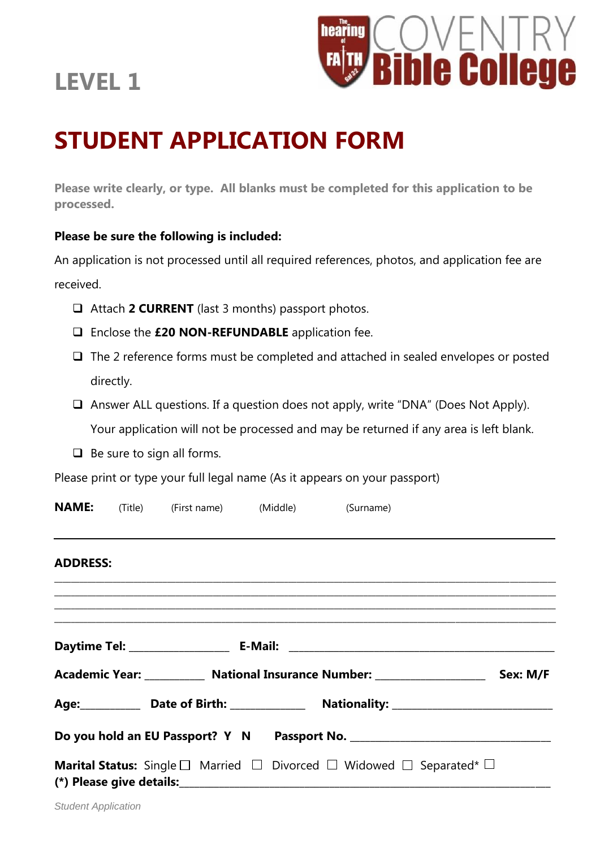## **LEVEL 1**



# **STUDENT APPLICATION FORM**

**Please write clearly, or type. All blanks must be completed for this application to be processed.**

#### **Please be sure the following is included:**

An application is not processed until all required references, photos, and application fee are received.

- Attach **2 CURRENT** (last 3 months) passport photos.
- Enclose the **£20 NON-REFUNDABLE** application fee.
- $\Box$  The 2 reference forms must be completed and attached in sealed envelopes or posted directly.
- $\Box$  Answer ALL questions. If a question does not apply, write "DNA" (Does Not Apply). Your application will not be processed and may be returned if any area is left blank.
- $\Box$  Be sure to sign all forms.

Please print or type your full legal name (As it appears on your passport)

|                                                                                                                     |  | <b>NAME:</b> (Title) (First name) (Middle) (Surname) |  |  |  |  |
|---------------------------------------------------------------------------------------------------------------------|--|------------------------------------------------------|--|--|--|--|
| <b>ADDRESS:</b><br>,我们也不能会在这里,我们也不能会在这里,我们也不能会在这里,我们也不能会在这里,我们也不能会在这里,我们也不能会在这里,我们也不能会在这里,我们也不能会在这里                 |  |                                                      |  |  |  |  |
|                                                                                                                     |  |                                                      |  |  |  |  |
|                                                                                                                     |  |                                                      |  |  |  |  |
| Academic Year: ____________ National Insurance Number: ____________________<br>Sex: M/F                             |  |                                                      |  |  |  |  |
|                                                                                                                     |  |                                                      |  |  |  |  |
| Do you hold an EU Passport? Y N Passport No. 2008 2010 2020 2020 2031 2040 2050 206 207 208 209 209 209 209 20      |  |                                                      |  |  |  |  |
| <b>Marital Status:</b> Single $\square$ Married $\square$ Divorced $\square$ Widowed $\square$ Separated* $\square$ |  |                                                      |  |  |  |  |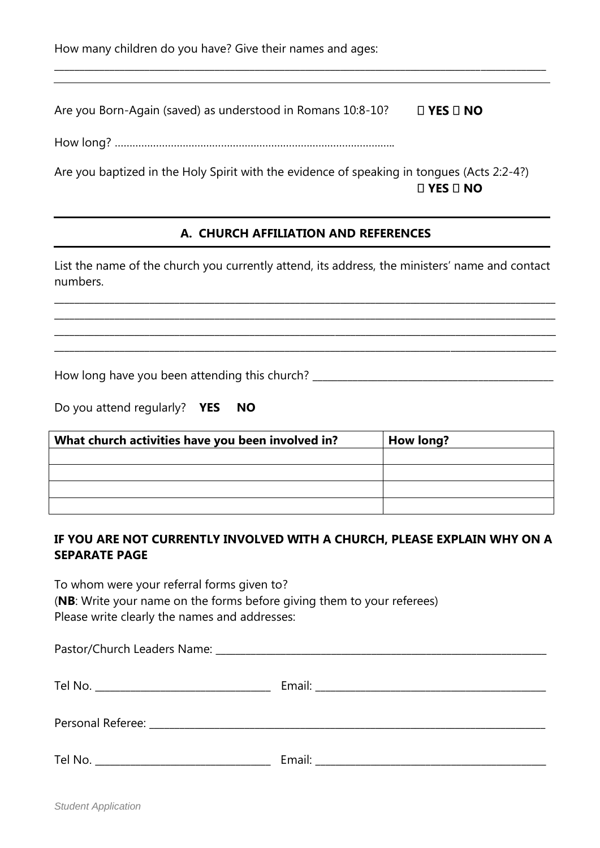How many children do you have? Give their names and ages:

Are you Born-Again (saved) as understood in Romans 10:8-10?  $\square$  YES  $\square$  NO

How long? …………………………………………………………………………………..

Are you baptized in the Holy Spirit with the evidence of speaking in tongues (Acts 2:2-4?)  $\square$  YES  $\square$  NO

**\_\_\_\_\_\_\_\_\_\_\_\_\_\_\_\_\_\_\_\_\_\_\_\_\_\_\_\_\_\_\_\_\_\_\_\_\_\_\_\_\_\_\_\_\_\_\_\_\_\_\_\_\_\_\_\_\_\_\_\_\_\_\_\_\_\_\_\_\_\_\_\_\_\_\_\_\_\_\_\_\_\_\_\_\_\_\_\_\_\_\_\_\_\_\_\_\_\_**

#### **A. CHURCH AFFILIATION AND REFERENCES**

List the name of the church you currently attend, its address, the ministers' name and contact numbers.

\_\_\_\_\_\_\_\_\_\_\_\_\_\_\_\_\_\_\_\_\_\_\_\_\_\_\_\_\_\_\_\_\_\_\_\_\_\_\_\_\_\_\_\_\_\_\_\_\_\_\_\_\_\_\_\_\_\_\_\_\_\_\_\_\_\_\_\_\_\_\_\_\_\_\_\_\_\_\_\_\_\_\_\_\_\_\_\_\_\_\_\_\_\_\_\_\_\_\_\_ \_\_\_\_\_\_\_\_\_\_\_\_\_\_\_\_\_\_\_\_\_\_\_\_\_\_\_\_\_\_\_\_\_\_\_\_\_\_\_\_\_\_\_\_\_\_\_\_\_\_\_\_\_\_\_\_\_\_\_\_\_\_\_\_\_\_\_\_\_\_\_\_\_\_\_\_\_\_\_\_\_\_\_\_\_\_\_\_\_\_\_\_\_\_\_\_\_\_\_\_ \_\_\_\_\_\_\_\_\_\_\_\_\_\_\_\_\_\_\_\_\_\_\_\_\_\_\_\_\_\_\_\_\_\_\_\_\_\_\_\_\_\_\_\_\_\_\_\_\_\_\_\_\_\_\_\_\_\_\_\_\_\_\_\_\_\_\_\_\_\_\_\_\_\_\_\_\_\_\_\_\_\_\_\_\_\_\_\_\_\_\_\_\_\_\_\_\_\_\_\_ \_\_\_\_\_\_\_\_\_\_\_\_\_\_\_\_\_\_\_\_\_\_\_\_\_\_\_\_\_\_\_\_\_\_\_\_\_\_\_\_\_\_\_\_\_\_\_\_\_\_\_\_\_\_\_\_\_\_\_\_\_\_\_\_\_\_\_\_\_\_\_\_\_\_\_\_\_\_\_\_\_\_\_\_\_\_\_\_\_\_\_\_\_\_\_\_\_\_\_\_

How long have you been attending this church? \_\_\_\_\_\_\_\_\_\_\_\_\_\_\_\_\_\_\_\_\_\_\_\_\_\_\_\_\_\_\_\_\_\_

| Do you attend regularly? <b>YES NO</b> |  |  |  |  |  |  |
|----------------------------------------|--|--|--|--|--|--|
|----------------------------------------|--|--|--|--|--|--|

| What church activities have you been involved in? | <b>How long?</b> |
|---------------------------------------------------|------------------|
|                                                   |                  |
|                                                   |                  |
|                                                   |                  |
|                                                   |                  |

#### **IF YOU ARE NOT CURRENTLY INVOLVED WITH A CHURCH, PLEASE EXPLAIN WHY ON A SEPARATE PAGE**

To whom were your referral forms given to?

(**NB**: Write your name on the forms before giving them to your referees) Please write clearly the names and addresses: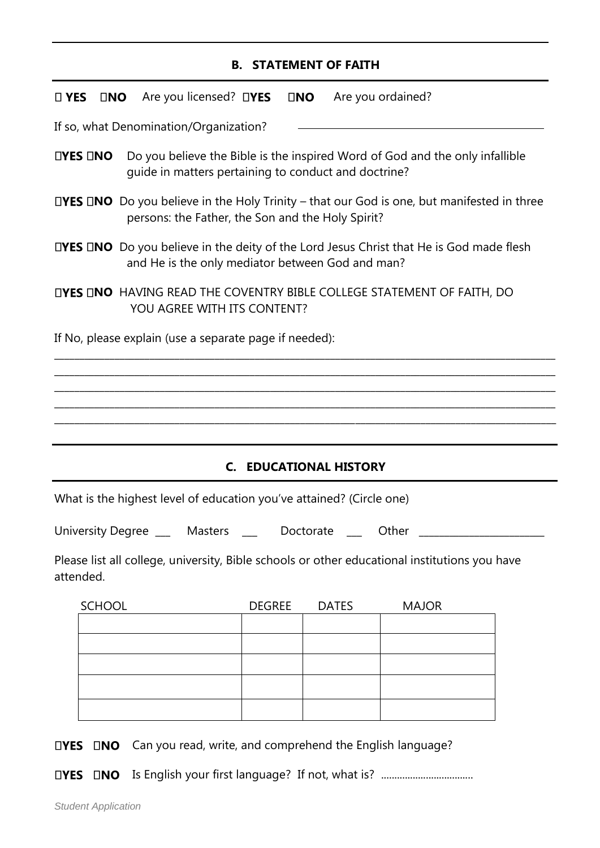#### **B. STATEMENT OF FAITH**

| $\square$ YES                                                        |                                                                                                                                                              |  | $\square$ <b>NO</b> Are you licensed? $\square$ <b>YES</b> |               | $\square$ NO |              | Are you ordained?                                                                             |
|----------------------------------------------------------------------|--------------------------------------------------------------------------------------------------------------------------------------------------------------|--|------------------------------------------------------------|---------------|--------------|--------------|-----------------------------------------------------------------------------------------------|
|                                                                      |                                                                                                                                                              |  | If so, what Denomination/Organization?                     |               |              |              |                                                                                               |
|                                                                      | Do you believe the Bible is the inspired Word of God and the only infallible<br>$\Box$ YES $\Box$ NO<br>guide in matters pertaining to conduct and doctrine? |  |                                                            |               |              |              |                                                                                               |
|                                                                      | <b>LIYES LINO</b> Do you believe in the Holy Trinity – that our God is one, but manifested in three<br>persons: the Father, the Son and the Holy Spirit?     |  |                                                            |               |              |              |                                                                                               |
|                                                                      | <b>∐YES INO</b> Do you believe in the deity of the Lord Jesus Christ that He is God made flesh<br>and He is the only mediator between God and man?           |  |                                                            |               |              |              |                                                                                               |
|                                                                      | <b>LIYES LINO HAVING READ THE COVENTRY BIBLE COLLEGE STATEMENT OF FAITH, DO</b><br>YOU AGREE WITH ITS CONTENT?                                               |  |                                                            |               |              |              |                                                                                               |
| If No, please explain (use a separate page if needed):               |                                                                                                                                                              |  |                                                            |               |              |              |                                                                                               |
|                                                                      |                                                                                                                                                              |  |                                                            |               |              |              |                                                                                               |
|                                                                      |                                                                                                                                                              |  |                                                            |               |              |              |                                                                                               |
|                                                                      |                                                                                                                                                              |  |                                                            |               |              |              |                                                                                               |
|                                                                      |                                                                                                                                                              |  |                                                            |               |              |              |                                                                                               |
| <b>C. EDUCATIONAL HISTORY</b>                                        |                                                                                                                                                              |  |                                                            |               |              |              |                                                                                               |
| What is the highest level of education you've attained? (Circle one) |                                                                                                                                                              |  |                                                            |               |              |              |                                                                                               |
| University Degree ___ Masters __ Doctorate<br>Other                  |                                                                                                                                                              |  |                                                            |               |              |              |                                                                                               |
|                                                                      |                                                                                                                                                              |  |                                                            |               |              |              |                                                                                               |
|                                                                      | attended.                                                                                                                                                    |  |                                                            |               |              |              | Please list all college, university, Bible schools or other educational institutions you have |
|                                                                      | <b>SCHOOL</b>                                                                                                                                                |  |                                                            | <b>DEGREE</b> |              | <b>DATES</b> | <b>MAJOR</b>                                                                                  |
|                                                                      |                                                                                                                                                              |  |                                                            |               |              |              |                                                                                               |
|                                                                      |                                                                                                                                                              |  |                                                            |               |              |              |                                                                                               |
|                                                                      |                                                                                                                                                              |  |                                                            |               |              |              |                                                                                               |
|                                                                      |                                                                                                                                                              |  |                                                            |               |              |              |                                                                                               |

 $\square$ **YES**  $\square$ **NO** Can you read, write, and comprehend the English language?

Is English your first language? If not, what is? ...................................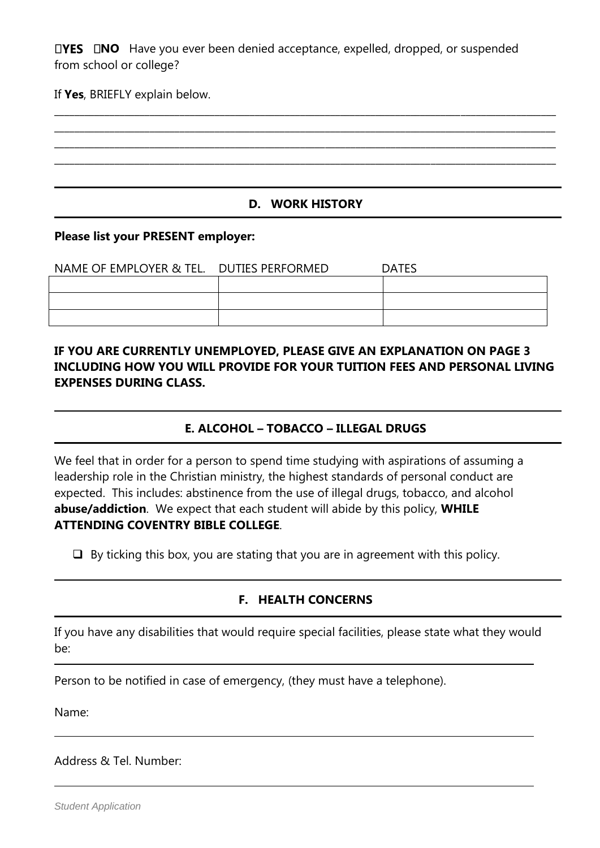**NO** Have you ever been denied acceptance, expelled, dropped, or suspended from school or college?

If **Yes**, BRIEFLY explain below.

**D. WORK HISTORY**

**\_\_\_\_\_\_\_\_\_\_\_\_\_\_\_\_\_\_\_\_\_\_\_\_\_\_\_\_\_\_\_\_\_\_\_\_\_\_\_\_\_\_\_\_\_\_\_\_\_\_\_\_\_\_\_\_\_\_\_\_\_\_\_\_\_\_\_\_\_\_\_\_\_\_\_\_\_\_\_\_\_\_\_\_\_\_\_\_\_\_\_\_\_\_\_\_\_\_\_\_ \_\_\_\_\_\_\_\_\_\_\_\_\_\_\_\_\_\_\_\_\_\_\_\_\_\_\_\_\_\_\_\_\_\_\_\_\_\_\_\_\_\_\_\_\_\_\_\_\_\_\_\_\_\_\_\_\_\_\_\_\_\_\_\_\_\_\_\_\_\_\_\_\_\_\_\_\_\_\_\_\_\_\_\_\_\_\_\_\_\_\_\_\_\_\_\_\_\_\_\_ \_\_\_\_\_\_\_\_\_\_\_\_\_\_\_\_\_\_\_\_\_\_\_\_\_\_\_\_\_\_\_\_\_\_\_\_\_\_\_\_\_\_\_\_\_\_\_\_\_\_\_\_\_\_\_\_\_\_\_\_\_\_\_\_\_\_\_\_\_\_\_\_\_\_\_\_\_\_\_\_\_\_\_\_\_\_\_\_\_\_\_\_\_\_\_\_\_\_\_\_ \_\_\_\_\_\_\_\_\_\_\_\_\_\_\_\_\_\_\_\_\_\_\_\_\_\_\_\_\_\_\_\_\_\_\_\_\_\_\_\_\_\_\_\_\_\_\_\_\_\_\_\_\_\_\_\_\_\_\_\_\_\_\_\_\_\_\_\_\_\_\_\_\_\_\_\_\_\_\_\_\_\_\_\_\_\_\_\_\_\_\_\_\_\_\_\_\_\_\_\_**

#### **Please list your PRESENT employer:**

| NAME OF EMPLOYER & TEL. DUTIES PERFORMED | <b>DATES</b> |
|------------------------------------------|--------------|
|                                          |              |
|                                          |              |
|                                          |              |

#### **IF YOU ARE CURRENTLY UNEMPLOYED, PLEASE GIVE AN EXPLANATION ON PAGE 3 INCLUDING HOW YOU WILL PROVIDE FOR YOUR TUITION FEES AND PERSONAL LIVING EXPENSES DURING CLASS.**

#### **E. ALCOHOL – TOBACCO – ILLEGAL DRUGS**

We feel that in order for a person to spend time studying with aspirations of assuming a leadership role in the Christian ministry, the highest standards of personal conduct are expected. This includes: abstinence from the use of illegal drugs, tobacco, and alcohol **abuse/addiction**. We expect that each student will abide by this policy, **WHILE ATTENDING COVENTRY BIBLE COLLEGE**.

 $\Box$  By ticking this box, you are stating that you are in agreement with this policy.

#### **F. HEALTH CONCERNS**

If you have any disabilities that would require special facilities, please state what they would be:

Person to be notified in case of emergency, (they must have a telephone).

Name:

Address & Tel. Number: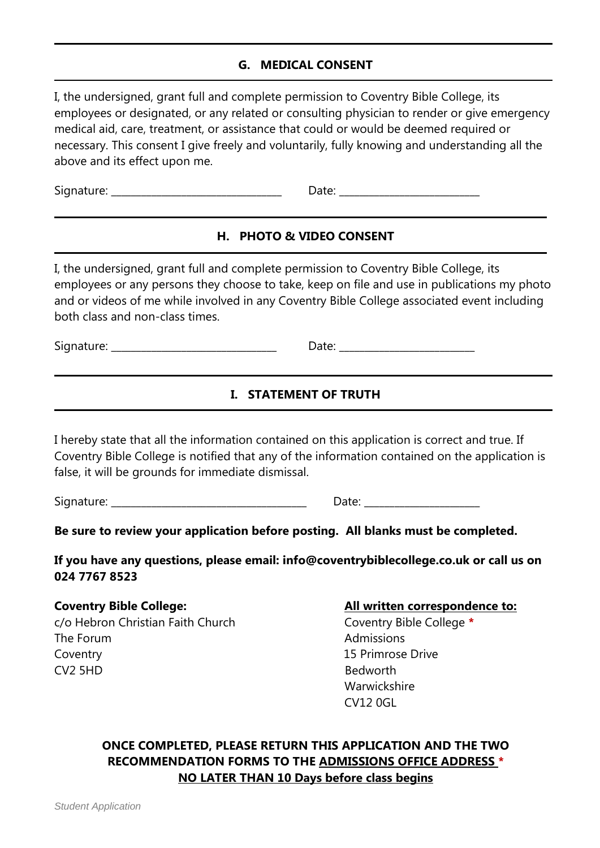#### **G. MEDICAL CONSENT**

I, the undersigned, grant full and complete permission to Coventry Bible College, its employees or designated, or any related or consulting physician to render or give emergency medical aid, care, treatment, or assistance that could or would be deemed required or necessary. This consent I give freely and voluntarily, fully knowing and understanding all the above and its effect upon me.

Signature: \_\_\_\_\_\_\_\_\_\_\_\_\_\_\_\_\_\_\_\_\_\_\_\_\_\_\_\_\_\_\_\_\_\_ Date: \_\_\_\_\_\_\_\_\_\_\_\_\_\_\_\_\_\_\_\_\_\_\_\_\_\_\_\_

#### **H. PHOTO & VIDEO CONSENT**

I, the undersigned, grant full and complete permission to Coventry Bible College, its employees or any persons they choose to take, keep on file and use in publications my photo and or videos of me while involved in any Coventry Bible College associated event including both class and non-class times.

Signature: \_\_\_\_\_\_\_\_\_\_\_\_\_\_\_\_\_\_\_\_\_\_\_\_\_\_\_\_\_\_\_\_\_ Date: \_\_\_\_\_\_\_\_\_\_\_\_\_\_\_\_\_\_\_\_\_\_\_\_\_\_\_

### **I. STATEMENT OF TRUTH**

I hereby state that all the information contained on this application is correct and true. If Coventry Bible College is notified that any of the information contained on the application is false, it will be grounds for immediate dismissal.

Signature: etc. and the state of the state of the Date:  $\Box$  Date:  $\Box$ 

**Be sure to review your application before posting. All blanks must be completed.** 

**If you have any questions, please email: info@coventrybiblecollege.co.uk or call us on 024 7767 8523**

c/o Hebron Christian Faith Church Coventry Bible College **\*** The Forum and the Community of the Admissions of Admissions Coventry 15 Primrose Drive CV2 5HD Bedworth

#### **Coventry Bible College:**  $\qquad \qquad \qquad$  All written correspondence to:

Warwickshire CV12 0GL

#### **ONCE COMPLETED, PLEASE RETURN THIS APPLICATION AND THE TWO RECOMMENDATION FORMS TO THE ADMISSIONS OFFICE ADDRESS \* NO LATER THAN 10 Days before class begins**